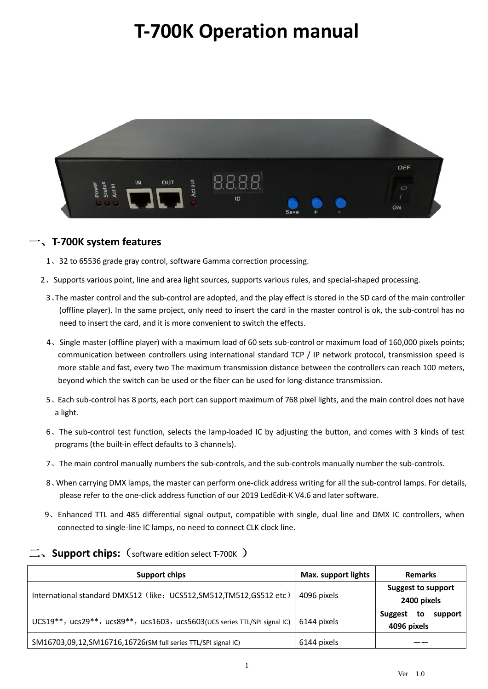# **T-700K Operation manual**



#### 一、**T-700K system features**

- 1、32 to 65536 grade gray control, software Gamma correction processing.
- 2、Supports various point, line and area light sources, supports various rules, and special-shaped processing.
	- 3、The master control and the sub-control are adopted, and the play effect is stored in the SD card of the main controller (offline player). In the same project, only need to insert the card in the master control is ok, the sub-control has no need to insert the card, and it is more convenient to switch the effects.
	- 4、Single master (offline player) with a maximum load of 60 sets sub-control or maximum load of 160,000 pixels points; communication between controllers using international standard TCP / IP network protocol, transmission speed is more stable and fast, every two The maximum transmission distance between the controllers can reach 100 meters, beyond which the switch can be used or the fiber can be used for long-distance transmission.
	- 5、Each sub-control has 8 ports, each port can support maximum of 768 pixel lights, and the main control does not have a light.
	- 6、The sub-control test function, selects the lamp-loaded IC by adjusting the button, and comes with 3 kinds of test programs (the built-in effect defaults to 3 channels).
	- 7、The main control manually numbers the sub-controls, and the sub-controls manually number the sub-controls.
	- 8、When carrying DMX lamps, the master can perform one-click address writing for all the sub-control lamps. For details, please refer to the one-click address function of our 2019 LedEdit-K V4.6 and later software.
- 9、Enhanced TTL and 485 differential signal output, compatible with single, dual line and DMX IC controllers, when connected to single-line IC lamps, no need to connect CLK clock line.

| Support chips                                                             | <b>Max. support lights</b> | <b>Remarks</b>                           |
|---------------------------------------------------------------------------|----------------------------|------------------------------------------|
| International standard DMX512 (like: UCS512, SM512, TM512, GS512 etc)     | 4096 pixels                | <b>Suggest to support</b><br>2400 pixels |
| UCS19**, ucs29**, ucs89**, ucs1603, ucs5603(UCS series TTL/SPI signal IC) | 6144 pixels                | Suggest<br>to<br>support<br>4096 pixels  |
| SM16703,09,12, SM16716, 16726 (SM full series TTL/SPI signal IC)          | 6144 pixels                |                                          |

#### 二、**Support chips:**(software edition select T-700K )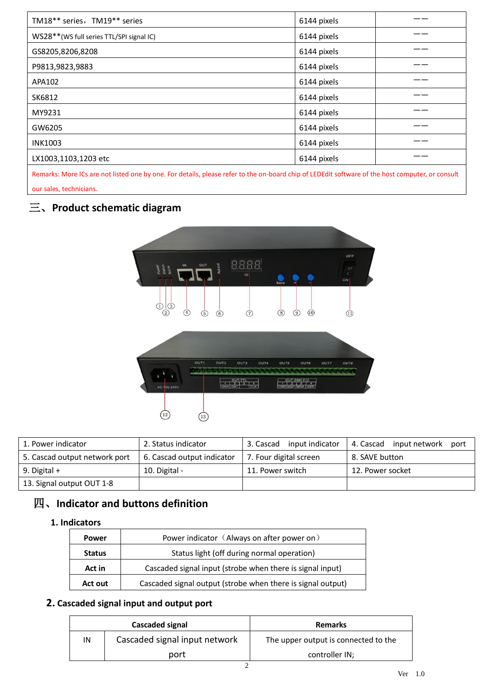| TM18** series, TM19** series             | 6144 pixels |  |
|------------------------------------------|-------------|--|
| WS28**(WS full series TTL/SPI signal IC) | 6144 pixels |  |
| GS8205,8206,8208                         | 6144 pixels |  |
| P9813,9823,9883                          | 6144 pixels |  |
| APA102                                   | 6144 pixels |  |
| SK6812                                   | 6144 pixels |  |
| MY9231                                   | 6144 pixels |  |
| GW6205                                   | 6144 pixels |  |
| <b>INK1003</b>                           | 6144 pixels |  |
| LX1003,1103,1203 etc                     | 6144 pixels |  |
|                                          |             |  |

Remarks: More ICs are not listed one by one. For details, please refer to the on-board chip of LEDEdit software of the host computer, or consult our sales, technicians.

# 三、**Product schematic diagram**



| 1. Power indicator            | 2. Status indicator        | input indicator<br>3. Cascad | 4. Cascad input network<br>port |  |
|-------------------------------|----------------------------|------------------------------|---------------------------------|--|
| 5. Cascad output network port | 6. Cascad output indicator | 7. Four digital screen       | 8. SAVE button                  |  |
| 9. Digital $+$                | 10. Digital -              | 11. Power switch             | 12. Power socket                |  |
| 13. Signal output OUT 1-8     |                            |                              |                                 |  |

# 四、**Indicator and buttons definition**

#### **1. Indicators**

| Power                                                               | Power indicator (Always on after power on)                  |  |
|---------------------------------------------------------------------|-------------------------------------------------------------|--|
| <b>Status</b>                                                       | Status light (off during normal operation)                  |  |
| Cascaded signal input (strobe when there is signal input)<br>Act in |                                                             |  |
| Act out                                                             | Cascaded signal output (strobe when there is signal output) |  |

#### **2. Cascaded signal input and output port**

|    | Cascaded signal               | <b>Remarks</b>                       |  |  |
|----|-------------------------------|--------------------------------------|--|--|
| IN | Cascaded signal input network | The upper output is connected to the |  |  |
|    | port                          | controller IN;                       |  |  |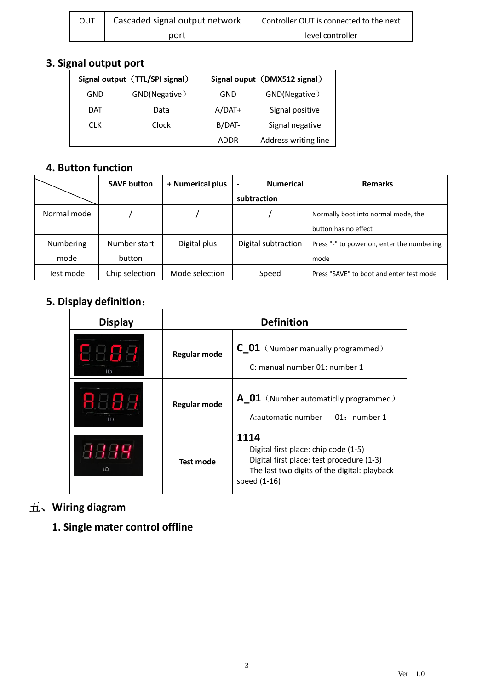| OUT | Cascaded signal output network | Controller OUT is connected to the next |  |  |
|-----|--------------------------------|-----------------------------------------|--|--|
|     | port                           | level controller                        |  |  |

# **3. Signal output port**

| Signal output (TTL/SPI signal) |       | Signal ouput (DMX512 signal)        |                 |  |
|--------------------------------|-------|-------------------------------------|-----------------|--|
| GND(Negative)<br>GND           |       | GND                                 | GND(Negative)   |  |
| DAT                            | Data  | $A/DAT+$                            | Signal positive |  |
| <b>CLK</b>                     | Clock | B/DAT-                              | Signal negative |  |
|                                |       | Address writing line<br><b>ADDR</b> |                 |  |

## **4. Button function**

|             | <b>SAVE button</b> | + Numerical plus | <b>Numerical</b><br>$\overline{\phantom{a}}$ | <b>Remarks</b>                             |
|-------------|--------------------|------------------|----------------------------------------------|--------------------------------------------|
|             |                    |                  | subtraction                                  |                                            |
| Normal mode |                    |                  |                                              | Normally boot into normal mode, the        |
|             |                    |                  |                                              | button has no effect                       |
| Numbering   | Number start       | Digital plus     | Digital subtraction                          | Press "-" to power on, enter the numbering |
| mode        | button             |                  |                                              | mode                                       |
| Test mode   | Chip selection     | Mode selection   | Speed                                        | Press "SAVE" to boot and enter test mode   |

# **5. Display definition**:

| <b>Display</b> | <b>Definition</b>                                                                                      |                                                                                                                                                           |  |  |
|----------------|--------------------------------------------------------------------------------------------------------|-----------------------------------------------------------------------------------------------------------------------------------------------------------|--|--|
|                | <b>C</b> 01 (Number manually programmed)<br><b>Regular mode</b><br>C: manual number 01: number 1       |                                                                                                                                                           |  |  |
| ID             | <b>A</b> 01 (Number automaticlly programmed)<br><b>Regular mode</b><br>A:automatic number 01: number 1 |                                                                                                                                                           |  |  |
| ID             | <b>Test mode</b>                                                                                       | 1114<br>Digital first place: chip code (1-5)<br>Digital first place: test procedure (1-3)<br>The last two digits of the digital: playback<br>speed (1-16) |  |  |

# 五、**Wiring diagram**

**1. Single mater control offline**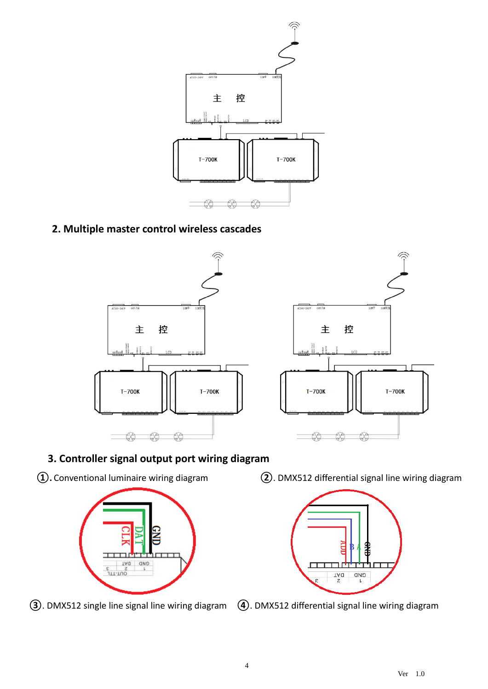

## **2. Multiple master control wireless cascades**





## **3. Controller signal output port wiring diagram**



**③**. DMX512 single line signal line wiring diagram **④**. DMX512 differential signal line wiring diagram

**①.** Conventional luminaire wiring diagram **②**. DMX512 differential signal line wiring diagram

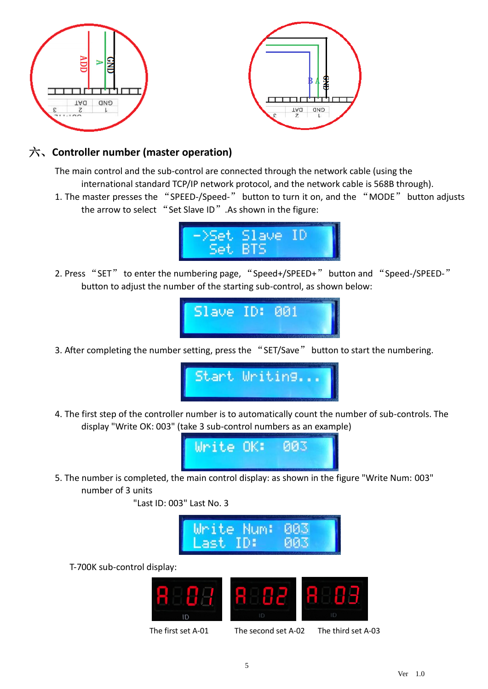



## 六、**Controller number (master operation)**

The main control and the sub-control are connected through the network cable (using the international standard TCP/IP network protocol, and the network cable is 568B through).

1. The master presses the "SPEED-/Speed-" button to turn it on, and the "MODE" button adjusts the arrow to select "Set Slave ID". As shown in the figure:



2. Press "SET" to enter the numbering page, "Speed+/SPEED+" button and "Speed-/SPEED-" button to adjust the number of the starting sub-control, as shown below:



3. After completing the number setting, press the "SET/Save" button to start the numbering.



4. The first step of the controller number is to automatically count the number of sub-controls. The display "Write OK: 003" (take 3 sub-control numbers as an example)



5. The number is completed, the main control display: as shown in the figure "Write Num: 003" number of 3 units

"Last ID: 003" Last No. 3



T-700K sub-control display:



5

The first set A-01 The second set A-02 The third set A-03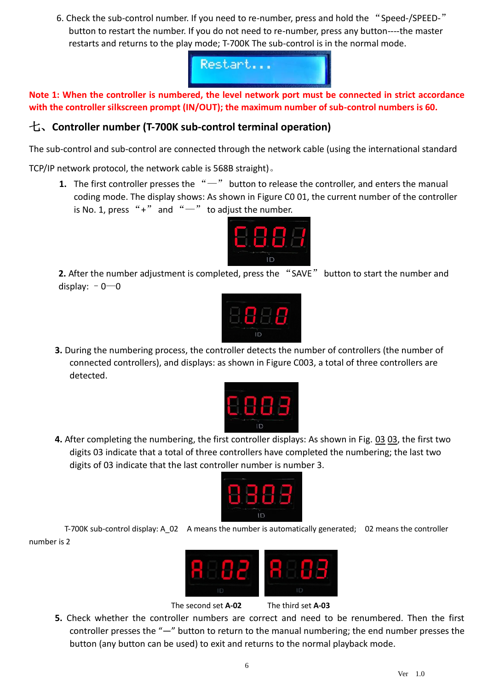6. Check the sub-control number. If you need to re-number, press and hold the "Speed-/SPEED-" button to restart the number. If you do not need to re-number, press any button----the master restarts and returns to the play mode; T-700K The sub-control is in the normal mode.



**Note 1: When the controller is numbered, the level network port must be connected in strict accordance with the controller silkscreen prompt (IN/OUT); the maximum number of sub-control numbers is 60.**

## 七、**Controller number (T-700K sub-control terminal operation)**

The sub-control and sub-control are connected through the network cable (using the international standard

TCP/IP network protocol, the network cable is 568B straight)。

**1.** The first controller presses the "-" button to release the controller, and enters the manual coding mode. The display shows: As shown in Figure C0 01, the current number of the controller is No. 1, press "+" and " $-$ " to adjust the number.



**2.** After the number adjustment is completed, press the "SAVE" button to start the number and display:  $-0$  - 0



**3.** During the numbering process, the controller detects the number of controllers (the number of connected controllers), and displays: as shown in Figure C003, a total of three controllers are detected.



**4.** After completing the numbering, the first controller displays: As shown in Fig. 03 03, the first two digits 03 indicate that a total of three controllers have completed the numbering; the last two digits of 03 indicate that the last controller number is number 3.



T-700K sub-control display: A\_02 A means the number is automatically generated; 02 means the controller number is 2



The second set **A-02** The third set **A-03**

**5.** Check whether the controller numbers are correct and need to be renumbered. Then the first controller presses the "—" button to return to the manual numbering; the end number presses the button (any button can be used) to exit and returns to the normal playback mode.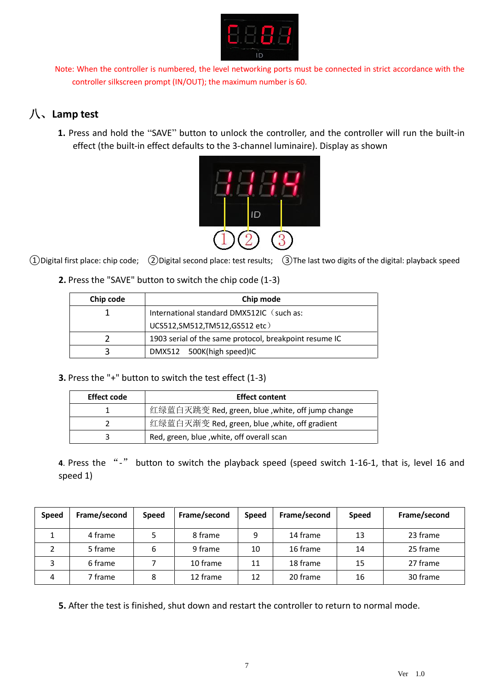

Note: When the controller is numbered, the level networking ports must be connected in strict accordance with the controller silkscreen prompt (IN/OUT); the maximum number is 60.

# 八、**Lamp test**

**1.** Press and hold the "SAVE" button to unlock the controller, and the controller will run the built-in effect (the built-in effect defaults to the 3-channel luminaire). Display as shown



①Digital first place: chip code; ②Digital second place: test results; ③The last two digits of the digital: playback speed

**2.** Press the "SAVE" button to switch the chip code (1-3)

| Chip code | Chip mode                                              |  |  |  |
|-----------|--------------------------------------------------------|--|--|--|
|           | International standard DMX512IC (such as:              |  |  |  |
|           | UCS512, SM512, TM512, GS512 etc)                       |  |  |  |
|           | 1903 serial of the same protocol, breakpoint resume IC |  |  |  |
| ્ર        | DMX512 500K(high speed)IC                              |  |  |  |

**3.** Press the "+" button to switch the test effect (1-3)

| <b>Effect code</b> | <b>Effect content</b>                            |  |  |
|--------------------|--------------------------------------------------|--|--|
|                    | 红绿蓝白灭跳变 Red, green, blue ,white, off jump change |  |  |
|                    | 红绿蓝白灭渐变 Red, green, blue ,white, off gradient    |  |  |
|                    | Red, green, blue, white, off overall scan        |  |  |

**4**. Press the "-" button to switch the playback speed (speed switch 1-16-1, that is, level 16 and speed 1)

| <b>Speed</b> | Frame/second | <b>Speed</b> | Frame/second | <b>Speed</b> | Frame/second | <b>Speed</b> | Frame/second |
|--------------|--------------|--------------|--------------|--------------|--------------|--------------|--------------|
|              | 4 frame      |              | 8 frame      | 9            | 14 frame     | 13           | 23 frame     |
|              | 5 frame      | 6            | 9 frame      | 10           | 16 frame     | 14           | 25 frame     |
|              | 6 frame      |              | 10 frame     | 11           | 18 frame     | 15           | 27 frame     |
| 4            | 7 frame      | 8            | 12 frame     | 12           | 20 frame     | 16           | 30 frame     |

**5.** After the test is finished, shut down and restart the controller to return to normal mode.